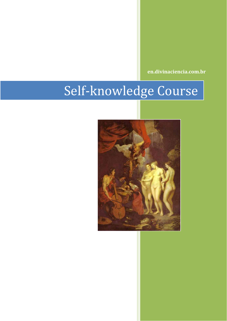**en.divinaciencia.com.br**

# Self-knowledge Course

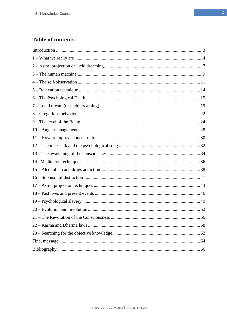# **Table of contents**

| 21 – The Revolution of the Consciousness.<br>56 |
|-------------------------------------------------|
|                                                 |
|                                                 |
|                                                 |
|                                                 |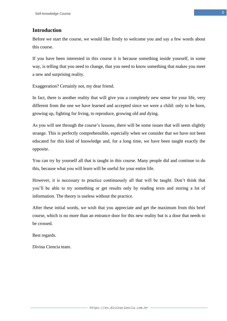# <span id="page-2-0"></span>**Introduction**

Before we start the course, we would like firstly to welcome you and say a few words about this course.

If you have been interested in this course it is because something inside yourself, in some way, is telling that you need to change, that you need to know something that makes you meet a new and surprising reality.

Exaggeration? Certainly not, my dear friend.

In fact, there is another reality that will give you a completely new sense for your life, very different from the one we have learned and accepted since we were a child: only to be born, growing up, fighting for living, to reproduce, growing old and dying.

As you will see through the course's lessons, there will be some issues that will seem slightly strange. This is perfectly comprehensible, especially when we consider that we have not been educated for this kind of knowledge and, for a long time, we have been taught exactly the opposite.

You can try by yourself all that is taught in this course. Many people did and continue to do this, because what you will learn will be useful for your entire life.

However, it is necessary to practice continuously all that will be taught. Don't think that you'll be able to try something or get results only by reading texts and storing a lot of information. The theory is useless without the practice.

After these initial words, we wish that you appreciate and get the maximum from this brief course, which is no more than an entrance door for this new reality but is a door that needs to be crossed.

Best regards.

Divina Ciencia team.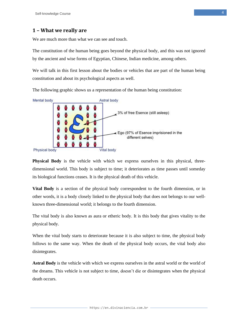## <span id="page-3-0"></span>**1 – What we really are**

We are much more than what we can see and touch.

The constitution of the human being goes beyond the physical body, and this was not ignored by the ancient and wise forms of Egyptian, Chinese, Indian medicine, among others.

We will talk in this first lesson about the bodies or vehicles that are part of the human being constitution and about its psychological aspects as well.

The following graphic shows us a representation of the human being constitution:



**Physical Body** is the vehicle with which we express ourselves in this physical, threedimensional world. This body is subject to time; it deteriorates as time passes until someday its biological functions ceases. It is the physical death of this vehicle.

**Vital Body** is a section of the physical body correspondent to the fourth dimension, or in other words, it is a body closely linked to the physical body that does not belongs to our wellknown three-dimensional world; it belongs to the fourth dimension.

The vital body is also known as aura or etheric body. It is this body that gives vitality to the physical body.

When the vital body starts to deteriorate because it is also subject to time, the physical body follows to the same way. When the death of the physical body occurs, the vital body also disintegrates.

**Astral Body** is the vehicle with which we express ourselves in the astral world or the world of the dreams. This vehicle is not subject to time, doesn't die or disintegrates when the physical death occurs.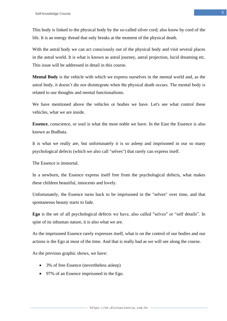This body is linked to the physical body by the so-called silver cord; also know by cord of the life. It is an energy thread that only breaks at the moment of the physical death.

With the astral body we can act consciously out of the physical body and visit several places in the astral world. It is what is known as astral journey, astral projection, lucid dreaming etc. This issue will be addressed in detail in this course.

**Mental Body** is the vehicle with which we express ourselves in the mental world and, as the astral body, it doesn't die nor disintegrate when the physical death occurs. The mental body is related to our thoughts and mental functionalisms.

We have mentioned above the vehicles or bodies we have. Let's see what control these vehicles, what we are inside.

**Essence**, conscience, or soul is what the most noble we have. In the East the Essence is also known as Budhata.

It is what we really are, but unfortunately it is so asleep and imprisoned in our so many psychological defects (which we also call "selves") that rarely can express itself.

The Essence is immortal.

In a newborn, the Essence express itself free from the psychological defects, what makes these children beautiful, innocents and lovely.

Unfortunately, the Essence turns back to be imprisoned in the "selves" over time, and that spontaneous beauty starts to fade.

**Ego** is the set of all psychological defects we have, also called "selves" or "self details". In spite of its inhuman nature, it is also what we are.

As the imprisoned Essence rarely expresses itself, what is on the control of our bodies and our actions is the Ego at most of the time. And that is really bad as we will see along the course.

As the previous graphic shows, we have:

- 3% of free Essence (nevertheless asleep)
- 97% of an Essence imprisoned in the Ego.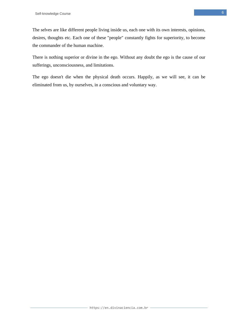The selves are like different people living inside us, each one with its own interests, opinions, desires, thoughts etc. Each one of these "people" constantly fights for superiority, to become the commander of the human machine.

There is nothing superior or divine in the ego. Without any doubt the ego is the cause of our sufferings, unconsciousness, and limitations.

The ego doesn't die when the physical death occurs. Happily, as we will see, it can be eliminated from us, by ourselves, in a conscious and voluntary way.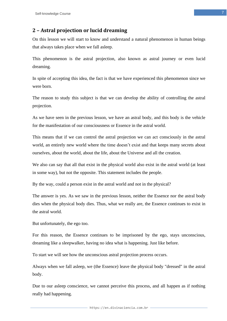# <span id="page-6-0"></span>**2 – Astral projection or lucid dreaming**

On this lesson we will start to know and understand a natural phenomenon in human beings that always takes place when we fall asleep.

This phenomenon is the astral projection, also known as astral journey or even lucid dreaming.

In spite of accepting this idea, the fact is that we have experienced this phenomenon since we were born.

The reason to study this subject is that we can develop the ability of controlling the astral projection.

As we have seen in the previous lesson, we have an astral body, and this body is the vehicle for the manifestation of our consciousness or Essence in the astral world.

This means that if we can control the astral projection we can act consciously in the astral world, an entirely new world where the time doesn't exist and that keeps many secrets about ourselves, about the world, about the life, about the Universe and all the creation.

We also can say that all that exist in the physical world also exist in the astral world (at least in some way), but not the opposite. This statement includes the people.

By the way, could a person exist in the astral world and not in the physical?

The answer is yes. As we saw in the previous lesson, neither the Essence nor the astral body dies when the physical body dies. Thus, what we really are, the Essence continues to exist in the astral world.

But unfortunately, the ego too.

For this reason, the Essence continues to be imprisoned by the ego, stays unconscious, dreaming like a sleepwalker, having no idea what is happening. Just like before.

To start we will see how the unconscious astral projection process occurs.

Always when we fall asleep, we (the Essence) leave the physical body "dressed" in the astral body.

Due to our asleep conscience, we cannot perceive this process, and all happen as if nothing really had happening.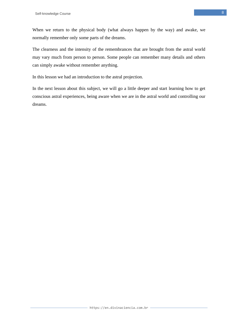When we return to the physical body (what always happen by the way) and awake, we normally remember only some parts of the dreams.

The clearness and the intensity of the remembrances that are brought from the astral world may vary much from person to person. Some people can remember many details and others can simply awake without remember anything.

In this lesson we had an introduction to the astral projection.

In the next lesson about this subject, we will go a little deeper and start learning how to get conscious astral experiences, being aware when we are in the astral world and controlling our dreams.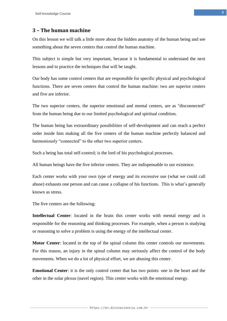## <span id="page-8-0"></span>**3 – The human machine**

On this lesson we will talk a little more about the hidden anatomy of the human being and see something about the seven centers that control the human machine.

This subject is simple but very important, because it is fundamental to understand the next lessons and to practice the techniques that will be taught.

Our body has some control centers that are responsible for specific physical and psychological functions. There are seven centers that control the human machine: two are superior centers and five are inferior.

The two superior centers, the superior emotional and mental centers, are as "disconnected" from the human being due to our limited psychological and spiritual condition.

The human being has extraordinary possibilities of self-development and can reach a perfect order inside him making all the five centers of the human machine perfectly balanced and harmoniously "connected" to the other two superior centers.

Such a being has total self-control; is the lord of his psychological processes.

All human beings have the five inferior centers. They are indispensable to our existence.

Each center works with your own type of energy and its excessive use (what we could call abuse) exhausts one person and can cause a collapse of his functions. This is what's generally known as stress.

The five centers are the following:

**Intellectual Center**: located in the brain this center works with mental energy and is responsible for the reasoning and thinking processes. For example, when a person is studying or reasoning to solve a problem is using the energy of the intellectual center.

**Motor Center**: located in the top of the spinal column this center controls our movements. For this reason, an injury in the spinal column may seriously affect the control of the body movements. When we do a lot of physical effort, we are abusing this center.

**Emotional Center**: it is the only control center that has two points: one in the heart and the other in the solar plexus (navel region). This center works with the emotional energy.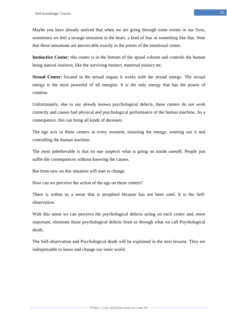Maybe you have already noticed that when we are going through some events in our lives, sometimes we feel a strange sensation in the heart, a kind of fear or something like that. Note that these sensations are perceivable exactly in the points of the emotional center.

**Instinctive Center**: this center is in the bottom of the spinal column and controls the human being natural instincts, like the surviving instinct, maternal instinct etc.

**Sexual Center**: located in the sexual organs it works with the sexual energy. The sexual energy is the most powerful of all energies. It is the only energy that has the power of creation.

Unfortunately, due to our already known psychological defects, these centers do not work correctly and causes bad physical and psychological performance of the human machine. As a consequence, this can bring all kinds of deceases.

The ego acts in these centers at every moment, misusing the energy, wearing out it and controlling the human machine.

The most unbelievable is that no one suspects what is going on inside oneself. People just suffer the consequences without knowing the causes.

But from now on this situation will start to change.

How can we perceive the action of the ego on these centers?

There is within us a sense that is atrophied because has not been used. It is the Selfobservation.

With this sense we can perceive the psychological defects acting on each center and, more important, eliminate those psychological defects from us through what we call Psychological death.

The Self-observation and Psychological death will be explained in the next lessons. They are indispensable to know and change our inner world.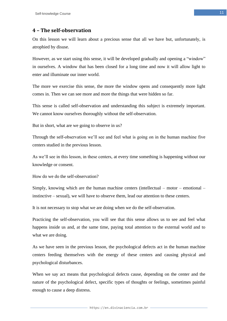## <span id="page-10-0"></span>**4 – The self-observation**

On this lesson we will learn about a precious sense that all we have but, unfortunately, is atrophied by disuse.

However, as we start using this sense, it will be developed gradually and opening a "window" in ourselves. A window that has been closed for a long time and now it will allow light to enter and illuminate our inner world.

The more we exercise this sense, the more the window opens and consequently more light comes in. Then we can see more and more the things that were hidden so far.

This sense is called self-observation and understanding this subject is extremely important. We cannot know ourselves thoroughly without the self-observation.

But in short, what are we going to observe in us?

Through the self-observation we'll see and feel what is going on in the human machine five centers studied in the previous lesson.

As we'll see in this lesson, in these centers, at every time something is happening without our knowledge or consent.

How do we do the self-observation?

Simply, knowing which are the human machine centers (intellectual – motor – emotional – instinctive – sexual), we will have to observe them, lead our attention to these centers.

It is not necessary to stop what we are doing when we do the self-observation.

Practicing the self-observation, you will see that this sense allows us to see and feel what happens inside us and, at the same time, paying total attention to the external world and to what we are doing.

As we have seen in the previous lesson, the psychological defects act in the human machine centers feeding themselves with the energy of these centers and causing physical and psychological disturbances.

When we say act means that psychological defects cause, depending on the center and the nature of the psychological defect, specific types of thoughts or feelings, sometimes painful enough to cause a deep distress.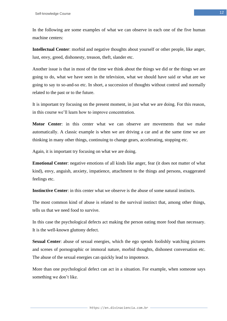In the following are some examples of what we can observe in each one of the five human machine centers:

**Intellectual Center**: morbid and negative thoughts about yourself or other people, like anger, lust, envy, greed, dishonesty, treason, theft, slander etc.

Another issue is that in most of the time we think about the things we did or the things we are going to do, what we have seen in the television, what we should have said or what are we going to say to so-and-so etc. In short, a succession of thoughts without control and normally related to the past or to the future.

It is important try focusing on the present moment, in just what we are doing. For this reason, in this course we'll learn how to improve concentration.

**Motor Center**: in this center what we can observe are movements that we make automatically. A classic example is when we are driving a car and at the same time we are thinking in many other things, continuing to change gears, accelerating, stopping etc.

Again, it is important try focusing on what we are doing.

**Emotional Center**: negative emotions of all kinds like anger, fear (it does not matter of what kind), envy, anguish, anxiety, impatience, attachment to the things and persons, exaggerated feelings etc.

**Instinctive Center**: in this center what we observe is the abuse of some natural instincts.

The most common kind of abuse is related to the survival instinct that, among other things, tells us that we need food to survive.

In this case the psychological defects act making the person eating more food than necessary. It is the well-known gluttony defect.

**Sexual Center**: abuse of sexual energies, which the ego spends foolishly watching pictures and scenes of pornographic or immoral nature, morbid thoughts, dishonest conversation etc. The abuse of the sexual energies can quickly lead to impotence.

More than one psychological defect can act in a situation. For example, when someone says something we don't like.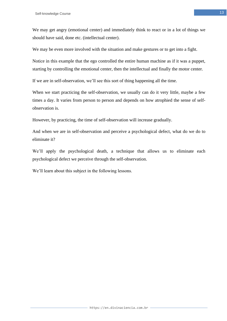We may get angry (emotional center) and immediately think to react or in a lot of things we should have said, done etc. (intellectual center).

We may be even more involved with the situation and make gestures or to get into a fight.

Notice in this example that the ego controlled the entire human machine as if it was a puppet, starting by controlling the emotional center, then the intellectual and finally the motor center.

If we are in self-observation, we'll see this sort of thing happening all the time.

When we start practicing the self-observation, we usually can do it very little, maybe a few times a day. It varies from person to person and depends on how atrophied the sense of selfobservation is.

However, by practicing, the time of self-observation will increase gradually.

And when we are in self-observation and perceive a psychological defect, what do we do to eliminate it?

We'll apply the psychological death, a technique that allows us to eliminate each psychological defect we perceive through the self-observation.

We'll learn about this subject in the following lessons.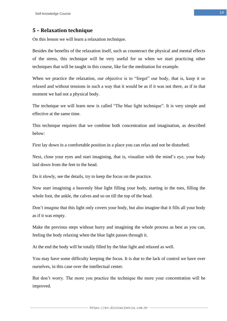# <span id="page-13-0"></span>**5 – Relaxation technique**

On this lesson we will learn a relaxation technique.

Besides the benefits of the relaxation itself, such as counteract the physical and mental effects of the stress, this technique will be very useful for us when we start practicing other techniques that will be taught in this course, like for the meditation for example.

When we practice the relaxation, our objective is to "forget" our body, that is, keep it so relaxed and without tensions in such a way that it would be as if it was not there, as if in that moment we had not a physical body.

The technique we will learn now is called "The blue light technique". It is very simple and effective at the same time.

This technique requires that we combine both concentration and imagination, as described below:

First lay down in a comfortable position in a place you can relax and not be disturbed.

Next, close your eyes and start imagining, that is, visualize with the mind's eye, your body laid down from the feet to the head.

Do it slowly, see the details, try to keep the focus on the practice.

Now start imagining a heavenly blue light filling your body, starting in the toes, filling the whole foot, the ankle, the calves and so on till the top of the head.

Don't imagine that this light only covers your body, but also imagine that it fills all your body as if it was empty.

Make the previous steps without hurry and imagining the whole process as best as you can, feeling the body relaxing when the blue light passes through it.

At the end the body will be totally filled by the blue light and relaxed as well.

You may have some difficulty keeping the focus. It is due to the lack of control we have over ourselves, in this case over the intellectual center.

But don't worry. The more you practice the technique the more your concentration will be improved.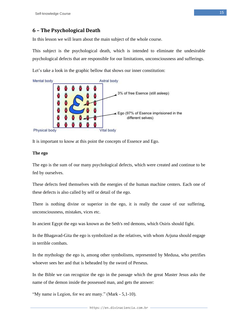# <span id="page-14-0"></span>**6 – The Psychological Death**

In this lesson we will learn about the main subject of the whole course.

This subject is the psychological death, which is intended to eliminate the undesirable psychological defects that are responsible for our limitations, unconsciousness and sufferings.

Let's take a look in the graphic bellow that shows our inner constitution:



It is important to know at this point the concepts of Essence and Ego.

#### **The ego**

The ego is the sum of our many psychological defects, which were created and continue to be fed by ourselves.

These defects feed themselves with the energies of the human machine centers. Each one of these defects is also called by self or detail of the ego.

There is nothing divine or superior in the ego, it is really the cause of our suffering, unconsciousness, mistakes, vices etc.

In ancient Egypt the ego was known as the Seth's red demons, which Osiris should fight.

In the Bhagavad-Gita the ego is symbolized as the relatives, with whom Arjuna should engage in terrible combats.

In the mythology the ego is, among other symbolisms, represented by Medusa, who petrifies whoever sees her and that is beheaded by the sword of Perseus.

In the Bible we can recognize the ego in the passage which the great Master Jesus asks the name of the demon inside the possessed man, and gets the answer:

"My name is Legion, for we are many." (Mark - 5,1-10).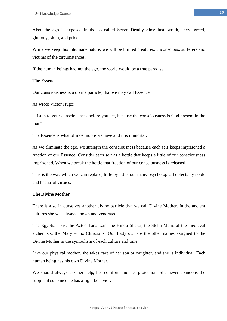Also, the ego is exposed in the so called Seven Deadly Sins: lust, wrath, envy, greed, gluttony, sloth, and pride.

While we keep this inhumane nature, we will be limited creatures, unconscious, sufferers and victims of the circumstances.

If the human beings had not the ego, the world would be a true paradise.

#### **The Essence**

Our consciousness is a divine particle, that we may call Essence.

As wrote Victor Hugo:

"Listen to your consciousness before you act, because the consciousness is God present in the man".

The Essence is what of most noble we have and it is immortal.

As we eliminate the ego, we strength the consciousness because each self keeps imprisoned a fraction of our Essence. Consider each self as a bottle that keeps a little of our consciousness imprisoned. When we break the bottle that fraction of our consciousness is released.

This is the way which we can replace, little by little, our many psychological defects by noble and beautiful virtues.

#### **The Divine Mother**

There is also in ourselves another divine particle that we call Divine Mother. In the ancient cultures she was always known and venerated.

The Egyptian Isis, the Aztec Tonantzin, the Hindu Shakti, the Stella Maris of the medieval alchemists, the Mary – the Christians' Our Lady etc. are the other names assigned to the Divine Mother in the symbolism of each culture and time.

Like our physical mother, she takes care of her son or daughter, and she is individual. Each human being has his own Divine Mother.

We should always ask her help, her comfort, and her protection. She never abandons the suppliant son since he has a right behavior.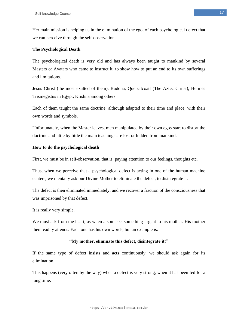Her main mission is helping us in the elimination of the ego, of each psychological defect that we can perceive through the self-observation.

#### **The Psychological Death**

The psychological death is very old and has always been taught to mankind by several Masters or Avatars who came to instruct it, to show how to put an end to its own sufferings and limitations.

Jesus Christ (the most exalted of them), Buddha, Quetzalcoatl (The Aztec Christ), Hermes Trismegistus in Egypt, Krishna among others.

Each of them taught the same doctrine, although adapted to their time and place, with their own words and symbols.

Unfortunately, when the Master leaves, men manipulated by their own egos start to distort the doctrine and little by little the main teachings are lost or hidden from mankind.

#### **How to do the psychological death**

First, we must be in self-observation, that is, paying attention to our feelings, thoughts etc.

Thus, when we perceive that a psychological defect is acting in one of the human machine centers, we mentally ask our Divine Mother to eliminate the defect, to disintegrate it.

The defect is then eliminated immediately, and we recover a fraction of the consciousness that was imprisoned by that defect.

It is really very simple.

We must ask from the heart, as when a son asks something urgent to his mother. His mother then readily attends. Each one has his own words, but an example is:

#### **"My mother, eliminate this defect, disintegrate it!"**

If the same type of defect insists and acts continuously, we should ask again for its elimination.

This happens (very often by the way) when a defect is very strong, when it has been fed for a long time.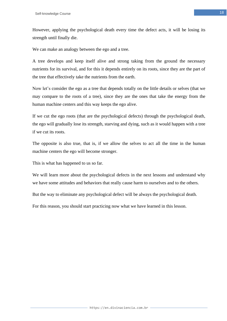However, applying the psychological death every time the defect acts, it will be losing its strength until finally die.

We can make an analogy between the ego and a tree.

A tree develops and keep itself alive and strong taking from the ground the necessary nutrients for its survival, and for this it depends entirely on its roots, since they are the part of the tree that effectively take the nutrients from the earth.

Now let's consider the ego as a tree that depends totally on the little details or selves (that we may compare to the roots of a tree), since they are the ones that take the energy from the human machine centers and this way keeps the ego alive.

If we cut the ego roots (that are the psychological defects) through the psychological death, the ego will gradually lose its strength, starving and dying, such as it would happen with a tree if we cut its roots.

The opposite is also true, that is, if we allow the selves to act all the time in the human machine centers the ego will become stronger.

This is what has happened to us so far.

We will learn more about the psychological defects in the next lessons and understand why we have some attitudes and behaviors that really cause harm to ourselves and to the others.

But the way to eliminate any psychological defect will be always the psychological death.

For this reason, you should start practicing now what we have learned in this lesson.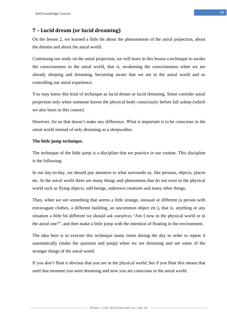# <span id="page-18-0"></span>**7 – Lucid dream (or lucid dreaming)**

On the lesson 2, we learned a little bit about the phenomenon of the astral projection, about the dreams and about the astral world.

Continuing our study on the astral projection, we will learn in this lesson a technique to awake the consciousness in the astral world, that is, awakening the consciousness when we are already sleeping and dreaming, becoming aware that we are in the astral world and so controlling our astral experience.

You may know this kind of technique as lucid dream or lucid dreaming. Some consider astral projection only when someone leaves the physical body consciously before fall asleep (which we also learn in this course).

However, for us that doesn't make any difference. What is important is to be conscious in the astral world instead of only dreaming as a sleepwalker.

#### **The little jump technique.**

The technique of the little jump is a discipline that we practice in our routine. This discipline is the following:

In our day-to-day, we should pay attention to what surrounds us, like persons, objects, places etc. In the astral world there are many things and phenomena that do not exist in the physical world such as flying objects, odd beings, unknown creatures and many other things.

Then, when we see something that seems a little strange, unusual or different (a person with extravagant clothes, a different building, an uncommon object etc.), that is, anything or any situation a little bit different we should ask ourselves "Am I now in the physical world or in the astral one?", and then make a little jump with the intention of floating in the environment.

The idea here is to execute this technique many times during the day in order to repeat it automatically (make the question and jump) when we are dreaming and see some of the stranger things of the astral world.

If you don't float it obvious that you are in the physical world, but if you float this means that until that moment you were dreaming and now you are conscious in the astral world.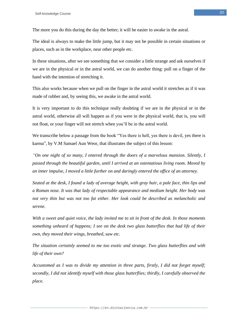The more you do this during the day the better; it will be easier to awake in the astral.

The ideal is always to make the little jump, but it may not be possible in certain situations or places, such as in the workplace, near other people etc.

In these situations, after we see something that we consider a little strange and ask ourselves if we are in the physical or in the astral world, we can do another thing: pull on a finger of the hand with the intention of stretching it.

This also works because when we pull on the finger in the astral world it stretches as if it was made of rubber and, by seeing this, we awake in the astral world.

It is very important to do this technique really doubting if we are in the physical or in the astral world, otherwise all will happen as if you were in the physical world, that is, you will not float, or your finger will not stretch when you'll be in the astral world.

We transcribe below a passage from the book "Yes there is hell, yes there is devil, yes there is karma", by V.M Samael Aun Weor, that illustrates the subject of this lesson:

*"On one night of so many, I entered through the doors of a marvelous mansion. Silently, I passed through the beautiful garden, until I arrived at an ostentatious living room. Moved by an inner impulse, I moved a little further on and daringly entered the office of an attorney.*

*Seated at the desk, I found a lady of average height, with gray hair, a pale face, thin lips and a Roman nose. It was that lady of respectable appearance and medium height. Her body was not very thin but was not too fat either. Her look could be described as melancholic and serene.*

*With a sweet and quiet voice, the lady invited me to sit in front of the desk. In those moments something unheard of happens; I see on the desk two glass butterflies that had life of their own, they moved their wings, breathed, saw etc.*

*The situation certainly seemed to me too exotic and strange. Two glass butterflies and with life of their own?*

*Accustomed as I was to divide my attention in three parts, firstly, I did not forget myself; secondly, I did not identify myself with those glass butterflies; thirdly, I carefully observed the place.*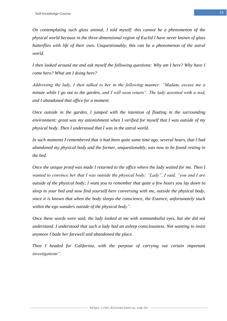*On contemplating such glass animal, I told myself: this cannot be a phenomenon of the physical world because in the three-dimensional region of Euclid I have never known of glass butterflies with life of their own. Unquestionably, this can be a phenomenon of the astral world.*

*I then looked around me and ask myself the following questions: Why am I here? Why have I come here? What am I doing here?*

*Addressing the lady, I then talked to her in the following manner: "Madam, excuse me a minute while I go out to the garden, and I will soon return". The lady assented with a nod, and I abandoned that office for a moment.*

*Once outside in the garden, I jumped with the intention of floating in the surrounding environment; great was my astonishment when I verified for myself that I was outside of my physical body. Then I understood that I was in the astral world.*

*In such moments I remembered that it had been quite some time ago, several hours, that I had abandoned my physical body and the former, unquestionably, was now to be found resting in the bed.*

*Once the unique proof was made I returned to the office where the lady waited for me. Then I wanted to convince her that I was outside the physical body; "Lady", I said, "you and I are outside of the physical body; I want you to remember that quite a few hours you lay down to sleep in your bed and now find yourself here conversing with me, outside the physical body, since it is known that when the body sleeps the conscience, the Essence, unfortunately stuck within the ego wanders outside of the physical body".*

*Once these words were said, the lady looked at me with somnambulist eyes, but she did not understand. I understood that such a lady had an asleep consciousness. Not wanting to insist anymore I bade her farewell and abandoned the place.*

*Then I headed for California, with the purpose of carrying out certain important investigations".*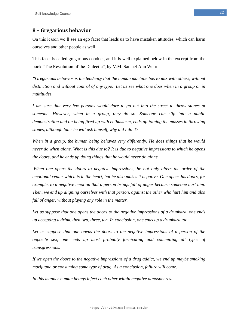# <span id="page-21-0"></span>**8 – Gregarious behavior**

On this lesson we'll see an ego facet that leads us to have mistaken attitudes, which can harm ourselves and other people as well.

This facet is called gregarious conduct, and it is well explained below in the excerpt from the book "The Revolution of the Dialectic", by V.M. Samael Aun Weor.

*"Gregarious behavior is the tendency that the human machine has to mix with others, without distinction and without control of any type. Let us see what one does when in a group or in multitudes.* 

*I am sure that very few persons would dare to go out into the street to throw stones at someone. However, when in a group, they do so. Someone can slip into a public demonstration and on being fired up with enthusiasm, ends up joining the masses in throwing stones, although later he will ask himself, why did I do it?*

*When in a group, the human being behaves very differently. He does things that he would never do when alone. What is this due to? It is due to negative impressions to which he opens the doors, and he ends up doing things that he would never do alone.* 

*When one opens the doors to negative impressions, he not only alters the order of the emotional center which is in the heart, but he also makes it negative. One opens his doors, for example, to a negative emotion that a person brings full of anger because someone hurt him. Then, we end up aligning ourselves with that person, against the other who hurt him and also full of anger, without playing any role in the matter.* 

*Let us suppose that one opens the doors to the negative impressions of a drunkard, one ends up accepting a drink, then two, three, ten. In conclusion, one ends up a drunkard too.* 

Let us suppose that one opens the doors to the negative impressions of a person of the *opposite sex, one ends up most probably fornicating and committing all types of transgressions.* 

*If we open the doors to the negative impressions of a drug addict, we end up maybe smoking marijuana or consuming some type of drug. As a conclusion, failure will come.* 

*In this manner human beings infect each other within negative atmospheres.*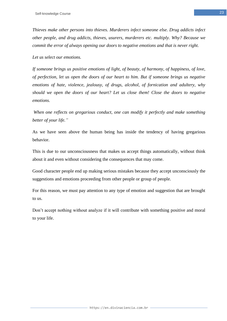*Thieves make other persons into thieves. Murderers infect someone else. Drug addicts infect other people, and drug addicts, thieves, usurers, murderers etc. multiply. Why? Because we commit the error of always opening our doors to negative emotions and that is never right.* 

*Let us select our emotions.* 

*If someone brings us positive emotions of light, of beauty, of harmony, of happiness, of love, of perfection, let us open the doors of our heart to him. But if someone brings us negative emotions of hate, violence, jealousy, of drugs, alcohol, of fornication and adultery, why should we open the doors of our heart? Let us close them! Close the doors to negative emotions.* 

*When one reflects on gregarious conduct, one can modify it perfectly and make something better of your life."*

As we have seen above the human being has inside the tendency of having gregarious behavior.

This is due to our unconsciousness that makes us accept things automatically, without think about it and even without considering the consequences that may come.

Good character people end up making serious mistakes because they accept unconsciously the suggestions and emotions proceeding from other people or group of people.

For this reason, we must pay attention to any type of emotion and suggestion that are brought to us.

Don't accept nothing without analyze if it will contribute with something positive and moral to your life.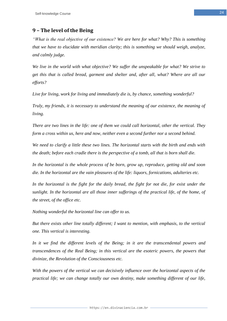# <span id="page-23-0"></span>**9 – The level of the Being**

*"What is the real objective of our existence? We are here for what? Why? This is something that we have to elucidate with meridian clarity; this is something we should weigh, analyze, and calmly judge.* 

*We live in the world with what objective? We suffer the unspeakable for what? We strive to get this that is called bread, garment and shelter and, after all, what? Where are all our efforts?* 

*Live for living, work for living and immediately die is, by chance, something wonderful?* 

*Truly, my friends, it is necessary to understand the meaning of our existence, the meaning of living.* 

*There are two lines in the life: one of them we could call horizontal, other the vertical. They form a cross within us, here and now, neither even a second further nor a second behind.* 

*We need to clarify a little these two lines. The horizontal starts with the birth and ends with the death; before each cradle there is the perspective of a tomb, all that is born shall die.* 

*In the horizontal is the whole process of be born, grow up, reproduce, getting old and soon die. In the horizontal are the vain pleasures of the life: liquors, fornications, adulteries etc.*

In the horizontal is the fight for the daily bread, the fight for not die, for exist under the *sunlight. In the horizontal are all those inner sufferings of the practical life, of the home, of the street, of the office etc.*

*Nothing wonderful the horizontal line can offer to us.* 

*But there exists other line totally different; I want to mention, with emphasis, to the vertical one. This vertical is interesting.* 

*In it we find the different levels of the Being; in it are the transcendental powers and transcendences of the Real Being; in this vertical are the esoteric powers, the powers that divinize, the Revolution of the Consciousness etc.*

*With the powers of the vertical we can decisively influence over the horizontal aspects of the practical life; we can change totally our own destiny, make something different of our life,*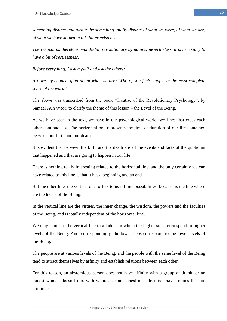*something distinct and turn to be something totally distinct of what we were, of what we are, of what we have known in this bitter existence.* 

*The vertical is, therefore, wonderful, revolutionary by nature; nevertheless, it is necessary to have a bit of restlessness.* 

*Before everything, I ask myself and ask the others:* 

*Are we, by chance, glad about what we are? Who of you feels happy, in the most complete sense of the word?"*

The above was transcribed from the book "Treatise of the Revolutionary Psychology", by Samael Aun Weor, to clarify the theme of this lesson – the Level of the Being.

As we have seen in the text, we have in our psychological world two lines that cross each other continuously. The horizontal one represents the time of duration of our life contained between our birth and our death.

It is evident that between the birth and the death are all the events and facts of the quotidian that happened and that are going to happen in our life.

There is nothing really interesting related to the horizontal line, and the only certainty we can have related to this line is that it has a beginning and an end.

But the other line, the vertical one, offers to us infinite possibilities, because is the line where are the levels of the Being.

In the vertical line are the virtues, the inner change, the wisdom, the powers and the faculties of the Being, and is totally independent of the horizontal line.

We may compare the vertical line to a ladder in which the higher steps correspond to higher levels of the Being. And, correspondingly, the lower steps correspond to the lower levels of the Being.

The people are at various levels of the Being, and the people with the same level of the Being tend to attract themselves by affinity and establish relations between each other.

For this reason, an abstemious person does not have affinity with a group of drunk; or an honest woman doesn't mix with whores, or an honest man does not have friends that are criminals.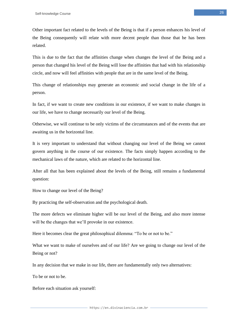Other important fact related to the levels of the Being is that if a person enhances his level of the Being consequently will relate with more decent people than those that he has been related.

This is due to the fact that the affinities change when changes the level of the Being and a person that changed his level of the Being will lose the affinities that had with his relationship circle, and now will feel affinities with people that are in the same level of the Being.

This change of relationships may generate an economic and social change in the life of a person.

In fact, if we want to create new conditions in our existence, if we want to make changes in our life, we have to change necessarily our level of the Being.

Otherwise, we will continue to be only victims of the circumstances and of the events that are awaiting us in the horizontal line.

It is very important to understand that without changing our level of the Being we cannot govern anything in the course of our existence. The facts simply happen according to the mechanical laws of the nature, which are related to the horizontal line.

After all that has been explained about the levels of the Being, still remains a fundamental question:

How to change our level of the Being?

By practicing the self-observation and the psychological death.

The more defects we eliminate higher will be our level of the Being, and also more intense will be the changes that we'll provoke in our existence.

Here it becomes clear the great philosophical dilemma: "To be or not to be."

What we want to make of ourselves and of our life? Are we going to change our level of the Being or not?

In any decision that we make in our life, there are fundamentally only two alternatives:

To be or not to be.

Before each situation ask yourself: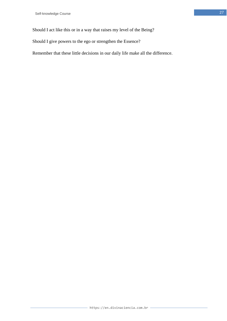Should I act like this or in a way that raises my level of the Being?

Should I give powers to the ego or strengthen the Essence?

Remember that these little decisions in our daily life make all the difference.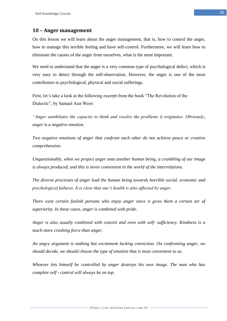## <span id="page-27-0"></span>**10 – Anger management**

On this lesson we will learn about the anger management, that is, how to control the anger, how to manage this terrible feeling and have self-control. Furthermore, we will learn how to eliminate the causes of the anger from ourselves, what is the most important.

We need to understand that the anger is a very common type of psychological defect, which is very easy to detect through the self-observation. However, the anger is one of the most contributors to psychological, physical and social sufferings.

First, let's take a look at the following excerpt from the book "The Revolution of the Dialectic", by Samael Aun Weor:

*"Anger annihilates the capacity to think and resolve the problems it originates. Obviously, anger is a negative emotion.*

*Two negative emotions of anger that confront each other do not achieve peace or creative comprehension.*

*Unquestionably, when we project anger onto another human being, a crumbling of our image is always produced, and this is never convenient in the world of the interrelations.*

*The diverse processes of anger lead the human being towards horrible social, economic and psychological failures. It is clear that one's health is also affected by anger.*

*There exist certain foolish persons who enjoy anger since it gives them a certain air of superiority. In these cases, anger is combined with pride.*

*Anger is also usually combined with conceit and even with self- sufficiency. Kindness is a much more crushing force than anger.*

*An angry argument is nothing but excitement lacking conviction. On confronting anger, we should decide, we should choose the type of emotion that is most convenient to us.*

*Whoever lets himself be controlled by anger destroys his own image. The man who has complete self - control will always be on top.*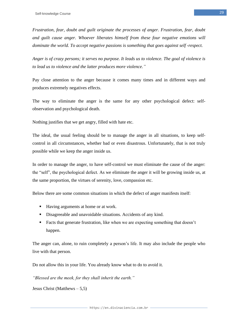*Frustration, fear, doubt and guilt originate the processes of anger. Frustration, fear, doubt and guilt cause anger. Whoever liberates himself from these four negative emotions will dominate the world. To accept negative passions is something that goes against self -respect.*

*Anger is of crazy persons; it serves no purpose. It leads us to violence. The goal of violence is to lead us to violence and the latter produces more violence."*

Pay close attention to the anger because it comes many times and in different ways and produces extremely negatives effects.

The way to eliminate the anger is the same for any other psychological defect: selfobservation and psychological death.

Nothing justifies that we get angry, filled with hate etc.

The ideal, the usual feeling should be to manage the anger in all situations, to keep selfcontrol in all circumstances, whether bad or even disastrous. Unfortunately, that is not truly possible while we keep the anger inside us.

In order to manage the anger, to have self-control we must eliminate the cause of the anger: the "self", the psychological defect. As we eliminate the anger it will be growing inside us, at the same proportion, the virtues of serenity, love, compassion etc.

Below there are some common situations in which the defect of anger manifests itself:

- Having arguments at home or at work.
- Disagreeable and unavoidable situations. Accidents of any kind.
- Facts that generate frustration, like when we are expecting something that doesn't happen.

The anger can, alone, to ruin completely a person's life. It may also include the people who live with that person.

Do not allow this in your life. You already know what to do to avoid it.

*"Blessed are the meek, for they shall inherit the earth."* 

Jesus Christ (Matthews – 5,5)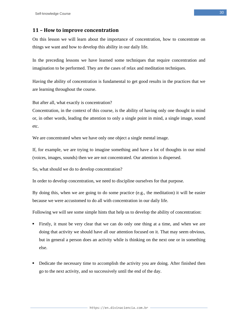## <span id="page-29-0"></span>**11 – How to improve concentration**

On this lesson we will learn about the importance of concentration, how to concentrate on things we want and how to develop this ability in our daily life.

In the preceding lessons we have learned some techniques that require concentration and imagination to be performed. They are the cases of relax and meditation techniques.

Having the ability of concentration is fundamental to get good results in the practices that we are learning throughout the course.

But after all, what exactly is concentration?

Concentration, in the context of this course, is the ability of having only one thought in mind or, in other words, leading the attention to only a single point in mind, a single image, sound etc.

We are concentrated when we have only one object a single mental image.

If, for example, we are trying to imagine something and have a lot of thoughts in our mind (voices, images, sounds) then we are not concentrated. Our attention is dispersed.

So, what should we do to develop concentration?

In order to develop concentration, we need to discipline ourselves for that purpose.

By doing this, when we are going to do some practice (e.g., the meditation) it will be easier because we were accustomed to do all with concentration in our daily life.

Following we will see some simple hints that help us to develop the ability of concentration:

- Firstly, it must be very clear that we can do only one thing at a time, and when we are doing that activity we should have all our attention focused on it. That may seem obvious, but in general a person does an activity while is thinking on the next one or in something else.
- Dedicate the necessary time to accomplish the activity you are doing. After finished then go to the next activity, and so successively until the end of the day.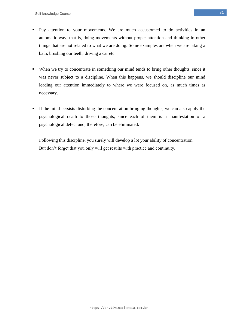- Pay attention to your movements. We are much accustomed to do activities in an automatic way, that is, doing movements without proper attention and thinking in other things that are not related to what we are doing. Some examples are when we are taking a bath, brushing our teeth, driving a car etc.
- When we try to concentrate in something our mind tends to bring other thoughts, since it was never subject to a discipline. When this happens, we should discipline our mind leading our attention immediately to where we were focused on, as much times as necessary.
- **•** If the mind persists disturbing the concentration bringing thoughts, we can also apply the psychological death to those thoughts, since each of them is a manifestation of a psychological defect and, therefore, can be eliminated.

Following this discipline, you surely will develop a lot your ability of concentration. But don't forget that you only will get results with practice and continuity.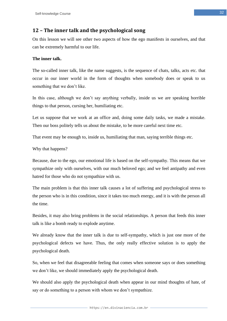# <span id="page-31-0"></span>**12 – The inner talk and the psychological song**

On this lesson we will see other two aspects of how the ego manifests in ourselves, and that can be extremely harmful to our life.

#### **The inner talk.**

The so-called inner talk, like the name suggests, is the sequence of chats, talks, acts etc. that occur in our inner world in the form of thoughts when somebody does or speak to us something that we don't like.

In this case, although we don't say anything verbally, inside us we are speaking horrible things to that person, cursing her, humiliating etc.

Let us suppose that we work at an office and, doing some daily tasks, we made a mistake. Then our boss politely tells us about the mistake, to be more careful next time etc.

That event may be enough to, inside us, humiliating that man, saying terrible things etc.

#### Why that happens?

Because, due to the ego, our emotional life is based on the self-sympathy. This means that we sympathize only with ourselves, with our much beloved ego; and we feel antipathy and even hatred for those who do not sympathize with us.

The main problem is that this inner talk causes a lot of suffering and psychological stress to the person who is in this condition, since it takes too much energy, and it is with the person all the time.

Besides, it may also bring problems in the social relationships. A person that feeds this inner talk is like a bomb ready to explode anytime.

We already know that the inner talk is due to self-sympathy, which is just one more of the psychological defects we have. Thus, the only really effective solution is to apply the psychological death.

So, when we feel that disagreeable feeling that comes when someone says or does something we don't like, we should immediately apply the psychological death.

We should also apply the psychological death when appear in our mind thoughts of hate, of say or do something to a person with whom we don't sympathize.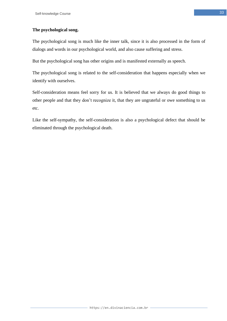## **The psychological song.**

The psychological song is much like the inner talk, since it is also processed in the form of dialogs and words in our psychological world, and also cause suffering and stress.

But the psychological song has other origins and is manifested externally as speech.

The psychological song is related to the self-consideration that happens especially when we identify with ourselves.

Self-consideration means feel sorry for us. It is believed that we always do good things to other people and that they don't recognize it, that they are ungrateful or owe something to us etc.

Like the self-sympathy, the self-consideration is also a psychological defect that should be eliminated through the psychological death.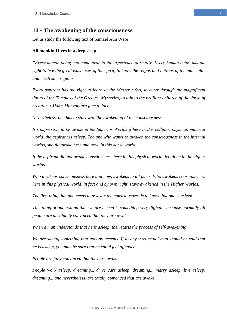# <span id="page-33-0"></span>**13 – The awakening of the consciousness**

Let us study the following text of Samael Aun Weor:

#### **All mankind lives in a deep sleep.**

*"Every human being can come near to the experience of reality. Every human being has the right to live the great existences of the spirit, to know the reigns and nations of the molecular and electronic regions.* 

*Every aspirant has the right to learn at the Master's feet, to enter through the magnificent*  doors of the Temples of the Greatest Mysteries, to talk to the brilliant children of the dawn of *creation's Maha-Manvantara face to face.* 

*Nevertheless, one has to start with the awakening of the consciousness.*

*It's impossible to be awake in the Superior Worlds if here in this cellular, physical, material world, the aspirant is asleep. The one who wants to awaken the consciousness in the internal worlds, should awake here and now, in this dense world.* 

*If the aspirant did not awake consciousness here in this physical world, let alone in the higher worlds.* 

*Who awakens consciousness here and now, awakens in all parts. Who awakens consciousness here in this physical world, in fact and by own right, stays awakened in the Higher Worlds.*

*The first thing that one needs to awaken the consciousness is to know that one is asleep.* 

*This thing of understand that we are asleep is something very difficult, because normally all people are absolutely convinced that they are awake.* 

*When a man understands that he is asleep, then starts the process of self-awakening.*

*We are saying something that nobody accepts. If to any intellectual man should be said that he is asleep, you may be sure that he could feel offended.* 

*People are fully convinced that they are awake.* 

*People work asleep, dreaming... drive cars asleep, dreaming... marry asleep, live asleep, dreaming... and nevertheless, are totally convinced that are awake.*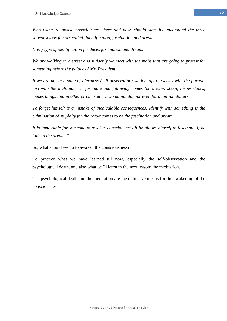*Who wants to awake consciousness here and now, should start by understand the three subconscious factors called: identification, fascination and dream.* 

*Every type of identification produces fascination and dream.*

*We are walking in a street and suddenly we meet with the mobs that are going to protest for something before the palace of Mr. President.*

*If we are not in a state of alertness (self-observation) we identify ourselves with the parade, mix with the multitude, we fascinate and following comes the dream: shout, throw stones, makes things that in other circumstances would not do, nor even for a million dollars.*

*To forget himself is a mistake of incalculable consequences. Identify with something is the culmination of stupidity for the result comes to be the fascination and dream.* 

*It is impossible for someone to awaken consciousness if he allows himself to fascinate, if he falls in the dream. "*

So, what should we do to awaken the consciousness?

To practice what we have learned till now, especially the self-observation and the psychological death, and also what we'll learn in the next lesson: the meditation.

The psychological death and the meditation are the definitive means for the awakening of the consciousness.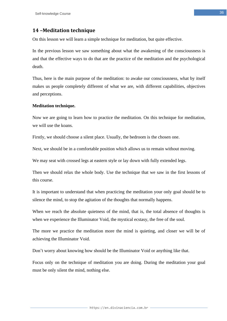# <span id="page-35-0"></span>**14 –Meditation technique**

On this lesson we will learn a simple technique for meditation, but quite effective.

In the previous lesson we saw something about what the awakening of the consciousness is and that the effective ways to do that are the practice of the meditation and the psychological death.

Thus, here is the main purpose of the meditation: to awake our consciousness, what by itself makes us people completely different of what we are, with different capabilities, objectives and perceptions.

#### **Meditation technique.**

Now we are going to learn how to practice the meditation. On this technique for meditation, we will use the koans.

Firstly, we should choose a silent place. Usually, the bedroom is the chosen one.

Next, we should be in a comfortable position which allows us to remain without moving.

We may seat with crossed legs at eastern style or lay down with fully extended legs.

Then we should relax the whole body. Use the technique that we saw in the first lessons of this course.

It is important to understand that when practicing the meditation your only goal should be to silence the mind, to stop the agitation of the thoughts that normally happens.

When we reach the absolute quietness of the mind, that is, the total absence of thoughts is when we experience the Illuminator Void, the mystical ecstasy, the free of the soul.

The more we practice the meditation more the mind is quieting, and closer we will be of achieving the Illuminator Void.

Don't worry about knowing how should be the Illuminator Void or anything like that.

Focus only on the technique of meditation you are doing. During the meditation your goal must be only silent the mind, nothing else.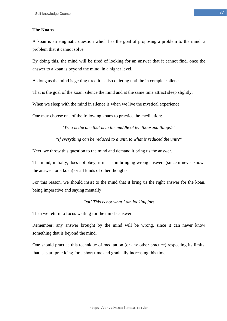#### **The Koans.**

A koan is an enigmatic question which has the goal of proposing a problem to the mind, a problem that it cannot solve.

By doing this, the mind will be tired of looking for an answer that it cannot find, once the answer to a koan is beyond the mind, in a higher level.

As long as the mind is getting tired it is also quieting until be in complete silence.

That is the goal of the koan: silence the mind and at the same time attract sleep slightly.

When we sleep with the mind in silence is when we live the mystical experience.

One may choose one of the following koans to practice the meditation:

*"Who is the one that is in the middle of ten thousand things?"*

*"If everything can be reduced to a unit, to what is reduced the unit?"*

Next, we throw this question to the mind and demand it bring us the answer.

The mind, initially, does not obey; it insists in bringing wrong answers (since it never knows the answer for a koan) or all kinds of other thoughts.

For this reason, we should insist to the mind that it bring us the right answer for the koan, being imperative and saying mentally:

#### *Out! This is not what I am looking for!*

Then we return to focus waiting for the mind's answer.

Remember: any answer brought by the mind will be wrong, since it can never know something that is beyond the mind.

One should practice this technique of meditation (or any other practice) respecting its limits, that is, start practicing for a short time and gradually increasing this time.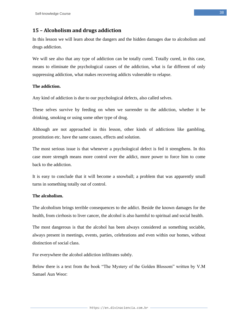# <span id="page-37-0"></span>**15 – Alcoholism and drugs addiction**

In this lesson we will learn about the dangers and the hidden damages due to alcoholism and drugs addiction.

We will see also that any type of addiction can be totally cured. Totally cured, in this case, means to eliminate the psychological causes of the addiction, what is far different of only suppressing addiction, what makes recovering addicts vulnerable to relapse.

#### **The addiction.**

Any kind of addiction is due to our psychological defects, also called selves.

These selves survive by feeding on when we surrender to the addiction, whether it be drinking, smoking or using some other type of drug.

Although are not approached in this lesson, other kinds of addictions like gambling, prostitution etc. have the same causes, effects and solution.

The most serious issue is that whenever a psychological defect is fed it strengthens. In this case more strength means more control over the addict, more power to force him to come back to the addiction.

It is easy to conclude that it will become a snowball; a problem that was apparently small turns in something totally out of control.

#### **The alcoholism.**

The alcoholism brings terrible consequences to the addict. Beside the known damages for the health, from cirrhosis to liver cancer, the alcohol is also harmful to spiritual and social health.

The most dangerous is that the alcohol has been always considered as something sociable, always present in meetings, events, parties, celebrations and even within our homes, without distinction of social class.

For everywhere the alcohol addiction infiltrates subtly.

Below there is a text from the book "The Mystery of the Golden Blossom" written by V.M Samael Aun Weor: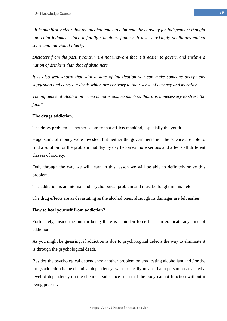"*It is manifestly clear that the alcohol tends to eliminate the capacity for independent thought and calm judgment since it fatally stimulates fantasy. It also shockingly debilitates ethical sense and individual liberty.*

*Dictators from the past, tyrants, were not unaware that it is easier to govern and enslave a nation of drinkers than that of abstainers.*

*It is also well known that with a state of intoxication you can make someone accept any suggestion and carry out deeds which are contrary to their sense of decency and morality.*

*The influence of alcohol on crime is notorious, so much so that it is unnecessary to stress the fact."*

#### **The drugs addiction.**

The drugs problem is another calamity that afflicts mankind, especially the youth.

Huge sums of money were invested, but neither the governments nor the science are able to find a solution for the problem that day by day becomes more serious and affects all different classes of society.

Only through the way we will learn in this lesson we will be able to definitely solve this problem.

The addiction is an internal and psychological problem and must be fought in this field.

The drug effects are as devastating as the alcohol ones, although its damages are felt earlier.

#### **How to heal yourself from addiction?**

Fortunately, inside the human being there is a hidden force that can eradicate any kind of addiction.

As you might be guessing, if addiction is due to psychological defects the way to eliminate it is through the psychological death.

Besides the psychological dependency another problem on eradicating alcoholism and / or the drugs addiction is the chemical dependency, what basically means that a person has reached a level of dependency on the chemical substance such that the body cannot function without it being present.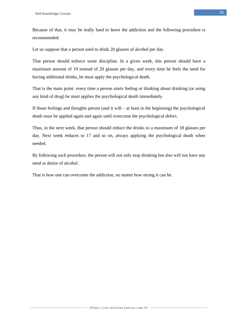Because of that, it may be really hard to leave the addiction and the following procedure is recommended:

Let us suppose that a person used to drink 20 glasses of alcohol per day.

That person should enforce some discipline. In a given week, this person should have a maximum amount of 19 instead of 20 glasses per day, and every time he feels the need for having additional drinks, he must apply the psychological death.

That is the main point: every time a person starts feeling or thinking about drinking (or using any kind of drug) he must applies the psychological death immediately.

If those feelings and thoughts persist (and it will  $-$  at least in the beginning) the psychological death must be applied again and again until overcome the psychological defect.

Thus, in the next week, that person should reduce the drinks to a maximum of 18 glasses per day. Next week reduces to 17 and so on, always applying the psychological death when needed.

By following such procedure, the person will not only stop drinking but also will not have any need or desire of alcohol.

That is how one can overcome the addiction, no matter how strong it can be.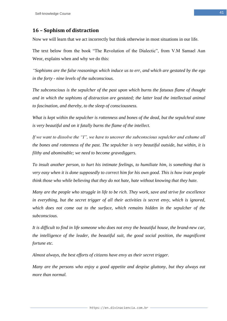# <span id="page-40-0"></span>**16 – Sophism of distraction**

Now we will learn that we act incorrectly but think otherwise in most situations in our life.

The text below from the book "The Revolution of the Dialectic", from V.M Samael Aun Weor, explains when and why we do this:

*"Sophisms are the false reasonings which induce us to err, and which are gestated by the ego in the forty - nine levels of the subconscious.*

*The subconscious is the sepulcher of the past upon which burns the fatuous flame of thought and in which the sophisms of distraction are gestated; the latter lead the intellectual animal to fascination, and thereby, to the sleep of consciousness.*

*What is kept within the sepulcher is rottenness and bones of the dead, but the sepulchral stone is very beautiful and on it fatally burns the flame of the intellect.*

*If we want to dissolve the "I", we have to uncover the subconscious sepulcher and exhume all the bones and rottenness of the past. The sepulcher is very beautiful outside, but within, it is filthy and abominable; we need to become gravediggers.*

*To insult another person, to hurt his intimate feelings, to humiliate him, is something that is very easy when it is done supposedly to correct him for his own good. This is how irate people think those who while believing that they do not hate, hate without knowing that they hate.*

*Many are the people who struggle in life to be rich. They work, save and strive for excellence in everything, but the secret trigger of all their activities is secret envy, which is ignored,*  which does not come out to the surface, which remains hidden in the sepulcher of the *subconscious.*

*It is difficult to find in life someone who does not envy the beautiful house, the brand-new car, the intelligence of the leader, the beautiful suit, the good social position, the magnificent fortune etc.*

*Almost always, the best efforts of citizens have envy as their secret trigger.*

*Many are the persons who enjoy a good appetite and despise gluttony, but they always eat more than normal.*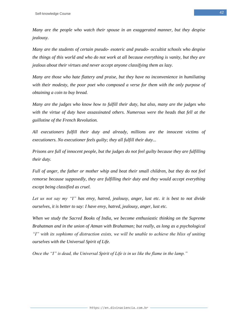*Many are the people who watch their spouse in an exaggerated manner, but they despise jealousy.*

*Many are the students of certain pseudo- esoteric and pseudo- occultist schools who despise the things of this world and who do not work at all because everything is vanity, but they are jealous about their virtues and never accept anyone classifying them as lazy.*

*Many are those who hate flattery and praise, but they have no inconvenience in humiliating with their modesty, the poor poet who composed a verse for them with the only purpose of obtaining a coin to buy bread.*

*Many are the judges who know how to fulfill their duty, but also, many are the judges who with the virtue of duty have assassinated others. Numerous were the heads that fell at the guillotine of the French Revolution.*

*All executioners fulfill their duty and already, millions are the innocent victims of executioners. No executioner feels guilty; they all fulfill their duty...*

*Prisons are full of innocent people, but the judges do not feel guilty because they are fulfilling their duty.*

*Full of anger, the father or mother whip and beat their small children, but they do not feel remorse because supposedly, they are fulfilling their duty and they would accept everything except being classified as cruel.*

*Let us not say my "I" has envy, hatred, jealousy, anger, lust etc. it is best to not divide ourselves, it is better to say: I have envy, hatred, jealousy, anger, lust etc.* 

*When we study the Sacred Books of India, we become enthusiastic thinking on the Supreme Brahatman and in the union of Atman with Brahatman; but really, as long as a psychological "I" with its sophisms of distraction exists, we will be unable to achieve the bliss of uniting ourselves with the Universal Spirit of Life.* 

*Once the "I" is dead, the Universal Spirit of Life is in us like the flame in the lamp."*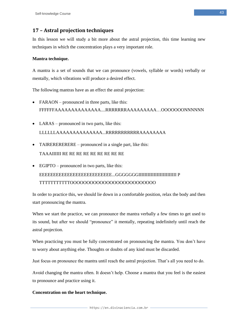# <span id="page-42-0"></span>**17 – Astral projection techniques**

In this lesson we will study a bit more about the astral projection, this time learning new techniques in which the concentration plays a very important role.

#### **Mantra technique.**

A mantra is a set of sounds that we can pronounce (vowels, syllable or words) verbally or mentally, which vibrations will produce a desired effect.

The following mantras have as an effect the astral projection:

- FARAON pronounced in three parts, like this: FFFFFFAAAAAAAAAAAAAA....RRRRRRRAAAAAAAAA…OOOOOOONNNNNN
- LARAS pronounced in two parts, like this: LLLLLLAAAAAAAAAAAAAA...RRRRRRRRRRRAAAAAAAA
- TAIRERERERERE pronounced in a single part, like this: TAAAIIIIII RE RE RE RE RE RE RE RE RE
- EGIPTO pronounced in two parts, like this: EEEEEEEEEEEEEEEEEEEEEEEEEE...GGGGGGGIIIIIIIIIIIIIIIIIIIIIIIII P TTTTTTTTTTTOOOOOOOOOOOOOOOOOOOOOOOOOO

In order to practice this, we should lie down in a comfortable position, relax the body and then start pronouncing the mantra.

When we start the practice, we can pronounce the mantra verbally a few times to get used to its sound, but after we should "pronounce" it mentally, repeating indefinitely until reach the astral projection.

When practicing you must be fully concentrated on pronouncing the mantra. You don't have to worry about anything else. Thoughts or doubts of any kind must be discarded.

Just focus on pronounce the mantra until reach the astral projection. That's all you need to do.

Avoid changing the mantra often. It doesn't help. Choose a mantra that you feel is the easiest to pronounce and practice using it.

#### **Concentration on the heart technique.**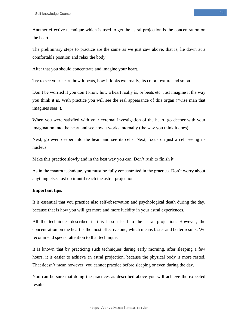Another effective technique which is used to get the astral projection is the concentration on the heart.

The preliminary steps to practice are the same as we just saw above, that is, lie down at a comfortable position and relax the body.

After that you should concentrate and imagine your heart.

Try to see your heart, how it beats, how it looks externally, its color, texture and so on.

Don't be worried if you don't know how a heart really is, or beats etc. Just imagine it the way you think it is. With practice you will see the real appearance of this organ ("wise man that imagines sees").

When you were satisfied with your external investigation of the heart, go deeper with your imagination into the heart and see how it works internally (the way you think it does).

Next, go even deeper into the heart and see its cells. Next, focus on just a cell seeing its nucleus.

Make this practice slowly and in the best way you can. Don't rush to finish it.

As in the mantra technique, you must be fully concentrated in the practice. Don't worry about anything else. Just do it until reach the astral projection.

#### **Important tips.**

It is essential that you practice also self-observation and psychological death during the day, because that is how you will get more and more lucidity in your astral experiences.

All the techniques described in this lesson lead to the astral projection. However, the concentration on the heart is the most effective one, which means faster and better results. We recommend special attention to that technique.

It is known that by practicing such techniques during early morning, after sleeping a few hours, it is easier to achieve an astral projection, because the physical body is more rested. That doesn't mean however, you cannot practice before sleeping or even during the day.

You can be sure that doing the practices as described above you will achieve the expected results.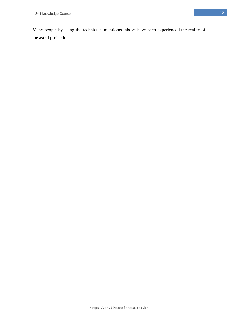Many people by using the techniques mentioned above have been experienced the reality of the astral projection.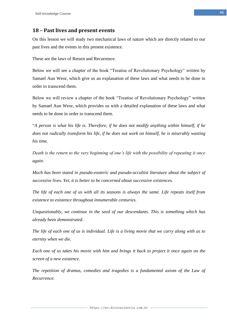## <span id="page-45-0"></span>**18 – Past lives and present events**

On this lesson we will study two mechanical laws of nature which are directly related to our past lives and the events in this present existence.

These are the laws of Return and Recurrence.

Below we will see a chapter of the book "Treatise of Revolutionary Psychology" written by Samael Aun Weor, which give us an explanation of these laws and what needs to be done in order to transcend them.

Below we will review a chapter of the book "Treatise of Revolutionary Psychology" written by Samael Aun Weor, which provides us with a detailed explanation of these laws and what needs to be done in order to transcend them.

"*A person is what his life is. Therefore, if he does not modify anything within himself, if he does not radically transform his life, if he does not work on himself, he is miserably wasting his time.* 

*Death is the return to the very beginning of one's life with the possibility of repeating it once again.*

*Much has been stated in pseudo-esoteric and pseudo-occultist literature about the subject of successive lives. Yet, it is better to be concerned about successive existences.*

*The life of each one of us with all its seasons is always the same. Life repeats itself from existence to existence throughout innumerable centuries.*

*Unquestionably, we continue in the seed of our descendants. This is something which has already been demonstrated.*

*The life of each one of us is individual. Life is a living movie that we carry along with us to eternity when we die.*

*Each one of us takes his movie with him and brings it back to project it once again on the screen of a new existence.*

*The repetition of dramas, comedies and tragedies is a fundamental axiom of the Law of Recurrence.*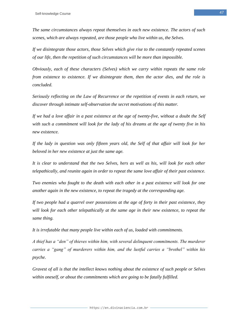*The same circumstances always repeat themselves in each new existence. The actors of such scenes, which are always repeated, are those people who live within us, the Selves.*

*If we disintegrate those actors, those Selves which give rise to the constantly repeated scenes of our life, then the repetition of such circumstances will be more than impossible.*

*Obviously, each of these characters (Selves) which we carry within repeats the same role from existence to existence. If we disintegrate them, then the actor dies, and the role is concluded.*

*Seriously reflecting on the Law of Recurrence or the repetition of events in each return, we discover through intimate self-observation the secret motivations of this matter.*

*If we had a love affair in a past existence at the age of twenty-five, without a doubt the Self with such a commitment will look for the lady of his dreams at the age of twenty five in his new existence.*

*If the lady in question was only fifteen years old, the Self of that affair will look for her beloved in her new existence at just the same age.*

It is clear to understand that the two Selves, hers as well as his, will look for each other *telepathically, and reunite again in order to repeat the same love affair of their past existence.*

*Two enemies who fought to the death with each other in a past existence will look for one another again in the new existence, to repeat the tragedy at the corresponding age.*

*If two people had a quarrel over possessions at the age of forty in their past existence, they will look for each other telepathically at the same age in their new existence, to repeat the same thing.*

*It is irrefutable that many people live within each of us, loaded with commitments.*

*A thief has a "den" of thieves within him, with several delinquent commitments. The murderer carries a "gang" of murderers within him, and the lustful carries a "brothel" within his psyche.*

*Gravest of all is that the intellect knows nothing about the existence of such people or Selves within oneself, or about the commitments which are going to be fatally fulfilled.*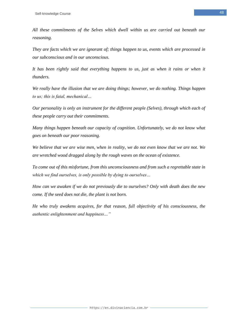*All these commitments of the Selves which dwell within us are carried out beneath our reasoning.*

*They are facts which we are ignorant of; things happen to us, events which are processed in our subconscious and in our unconscious.*

It has been rightly said that everything happens to us, just as when it rains or when it *thunders.*

*We really have the illusion that we are doing things; however, we do nothing. Things happen to us; this is fatal, mechanical…*

*Our personality is only an instrument for the different people (Selves), through which each of these people carry out their commitments.*

*Many things happen beneath our capacity of cognition. Unfortunately, we do not know what goes on beneath our poor reasoning.*

*We believe that we are wise men, when in reality, we do not even know that we are not. We are wretched wood dragged along by the rough waves on the ocean of existence.*

*To come out of this misfortune, from this unconsciousness and from such a regrettable state in which we find ourselves, is only possible by dying to ourselves…*

*How can we awaken if we do not previously die to ourselves? Only with death does the new come. If the seed does not die, the plant is not born.*

*He who truly awakens acquires, for that reason, full objectivity of his consciousness, the authentic enlightenment and happiness…"*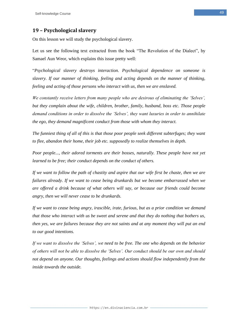# <span id="page-48-0"></span>**19 – Psychological slavery**

On this lesson we will study the psychological slavery.

Let us see the following text extracted from the book "The Revolution of the Dialect", by Samael Aun Weor, which explains this issue pretty well:

"*Psychological slavery destroys interaction. Psychological dependence on someone is slavery. If our manner of thinking, feeling and acting depends on the manner of thinking, feeling and acting of those persons who interact with us, then we are enslaved.*

*We constantly receive letters from many people who are desirous of eliminating the 'Selves', but they complain about the wife, children, brother, family, husband, boss etc. Those people demand conditions in order to dissolve the 'Selves', they want luxuries in order to annihilate the ego, they demand magnificent conduct from those with whom they interact.*

*The funniest thing of all of this is that those poor people seek different subterfuges; they want to flee, abandon their home, their job etc. supposedly to realize themselves in depth.*

*Poor people..., their adored torments are their bosses, naturally. These people have not yet learned to be free; their conduct depends on the conduct of others.*

*If we want to follow the path of chastity and aspire that our wife first be chaste, then we are failures already. If we want to cease being drunkards but we become embarrassed when we are offered a drink because of what others will say, or because our friends could become angry, then we will never cease to be drunkards.*

*If we want to cease being angry, irascible, irate, furious, but as a prior condition we demand that those who interact with us be sweet and serene and that they do nothing that bothers us, then yes, we are failures because they are not saints and at any moment they will put an end to our good intentions.*

*If we want to dissolve the 'Selves', we need to be free. The one who depends on the behavior of others will not be able to dissolve the 'Selves'. Our conduct should be our own and should not depend on anyone. Our thoughts, feelings and actions should flow independently from the inside towards the outside.*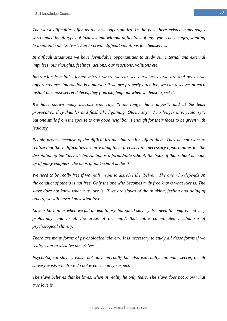*The worst difficulties offer us the best opportunities. In the past there existed many sages surrounded by all types of luxuries and without difficulties of any type. Those sages, wanting to annihilate the 'Selves', had to create difficult situations for themselves.*

In difficult situations we have formidable opportunities to study our internal and external *impulses, our thoughts, feelings, actions, our reactions, volitions etc.*

*Interaction is a full - length mirror where we can see ourselves as we are and not as we apparently are. Interaction is a marvel; if we are properly attentive, we can discover at each instant our most secret defects, they flourish, leap out when we least expect it.*

*We have known many persons who say: "I no longer have anger", and at the least provocation they thunder and flash like lightning. Others say: "I no longer have jealousy", but one smile from the spouse to any good neighbor is enough for their faces to be green with jealousy.*

*People protest because of the difficulties that interaction offers them. They do not want to realize that those difficulties are providing them precisely the necessary opportunities for the dissolution of the 'Selves'. Interaction is a formidable school; the book of that school is made up of many chapters; the book of that school is the 'I'.*

*We need to be really free if we really want to dissolve the 'Selves'. The one who depends on the conduct of others is not free. Only the one who becomes truly free knows what love is. The slave does not know what true love is. If we are slaves of the thinking, feeling and doing of others, we will never know what love is.*

*Love is born in us when we put an end to psychological slavery. We need to comprehend very profoundly, and in all the areas of the mind, that entire complicated mechanism of psychological slavery.*

*There are many forms of psychological slavery. It is necessary to study all those forms if we really want to dissolve the 'Selves'.*

*Psychological slavery exists not only internally but also externally. Intimate, secret, occult slavery exists which we do not even remotely suspect.* 

*The slave believes that he loves, when in reality he only fears. The slave does not know what true love is.*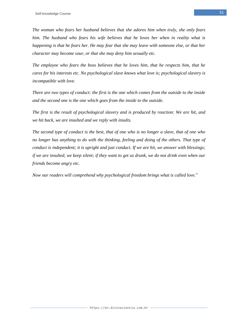*The woman who fears her husband believes that she adores him when truly, she only fears him. The husband who fears his wife believes that he loves her when in reality what is happening is that he fears her. He may fear that she may leave with someone else, or that her character may become sour, or that she may deny him sexually etc.*

*The employee who fears the boss believes that he loves him, that he respects him, that he cares for his interests etc. No psychological slave knows what love is; psychological slavery is incompatible with love.*

*There are two types of conduct: the first is the one which comes from the outside to the inside and the second one is the one which goes from the inside to the outside.* 

*The first is the result of psychological slavery and is produced by reaction: We are hit, and we hit back, we are insulted and we reply with insults.* 

*The second type of conduct is the best, that of one who is no longer a slave, that of one who no longer has anything to do with the thinking, feeling and doing of the others. That type of conduct is independent; it is upright and just conduct. If we are hit, we answer with blessings; if we are insulted, we keep silent; if they want to get us drunk, we do not drink even when our friends become angry etc.*

*Now our readers will comprehend why psychological freedom brings what is called love.*"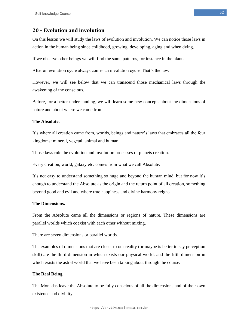# <span id="page-51-0"></span>**20 – Evolution and involution**

On this lesson we will study the laws of evolution and involution. We can notice those laws in action in the human being since childhood, growing, developing, aging and when dying.

If we observe other beings we will find the same patterns, for instance in the plants.

After an evolution cycle always comes an involution cycle. That's the law.

However, we will see below that we can transcend those mechanical laws through the awakening of the conscious.

Before, for a better understanding, we will learn some new concepts about the dimensions of nature and about where we came from.

#### **The Absolute.**

It's where all creation came from, worlds, beings and nature's laws that embraces all the four kingdoms: mineral, vegetal, animal and human.

Those laws rule the evolution and involution processes of planets creation.

Every creation, world, galaxy etc. comes from what we call Absolute.

It's not easy to understand something so huge and beyond the human mind, but for now it's enough to understand the Absolute as the origin and the return point of all creation, something beyond good and evil and where true happiness and divine harmony reigns.

#### **The Dimensions.**

From the Absolute came all the dimensions or regions of nature. These dimensions are parallel worlds which coexist with each other without mixing.

There are seven dimensions or parallel worlds.

The examples of dimensions that are closer to our reality (or maybe is better to say perception skill) are the third dimension in which exists our physical world, and the fifth dimension in which exists the astral world that we have been talking about through the course.

#### **The Real Being.**

The Monadas leave the Absolute to be fully conscious of all the dimensions and of their own existence and divinity.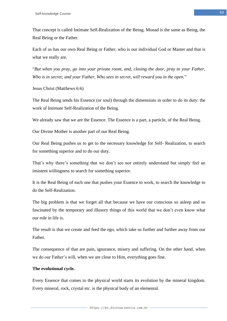That concept is called Intimate Self-Realization of the Being. Monad is the same as Being, the Real Being or the Father.

Each of us has our own Real Being or Father, who is our individual God or Master and that is what we really are.

"*But when you pray, go into your private room, and, closing the door, pray to your Father, Who is in secret; and your Father, Who sees in secret, will reward you in the open.*"

Jesus Christ (Matthews 6:6)

The Real Being sends his Essence (or soul) through the dimensions in order to do its duty: the work of Intimate Self-Realization of the Being.

We already saw that we are the Essence. The Essence is a part, a particle, of the Real Being.

Our Divine Mother is another part of our Real Being.

Our Real Being pushes us to get to the necessary knowledge for Self- Realization, to search for something superior and to do our duty.

That's why there's something that we don't see nor entirely understand but simply feel an insistent willingness to search for something superior.

It is the Real Being of each one that pushes your Essence to work, to search the knowledge to do the Self-Realization.

The big problem is that we forget all that because we have our conscious so asleep and so fascinated by the temporary and illusory things of this world that we don't even know what our role in life is.

The result is that we create and feed the ego, which take us further and further away from our Father.

The consequence of that are pain, ignorance, misery and suffering. On the other hand, when we do our Father's will, when we are close to Him, everything goes fine.

#### **The evolutional cycle.**

Every Essence that comes to the physical world starts its evolution by the mineral kingdom. Every mineral, rock, crystal etc. is the physical body of an elemental.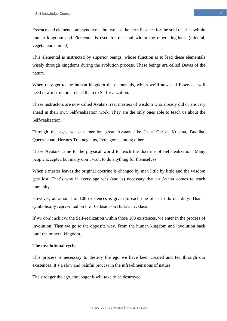Essence and elemental are synonyms, but we use the term Essence for the soul that lies within human kingdom and Elemental is used for the soul within the other kingdoms (mineral, vegetal and animal).

This elemental is instructed by superior beings, whose function is to lead these elementals wisely through kingdoms during the evolution process. These beings are called Devas of the nature.

When they get to the human kingdom the elementals, which we'll now call Essences, will need new instructors to lead them to Self-realization.

These instructors are now called Avatars, real masters of wisdom who already did or are very ahead in their own Self-realization work. They are the only ones able to teach us about the Self-realization.

Through the ages we can mention great Avatars like Jesus Christ, Krishna, Buddha, Quetzalcoatl, Hermes Trismegistus, Pythagoras among other.

These Avatars came to the physical world to teach the doctrine of Self-realization. Many people accepted but many don't want to do anything for themselves.

When a master leaves the original doctrine is changed by men little by little and the wisdom gets lost. That's why in every age was (and is) necessary that an Avatar comes to teach humanity.

However, an amount of 108 existences is given to each one of us to do our duty. That is symbolically represented on the 108 beads on Buda's necklace.

If we don't achieve the Self-realization within those 108 existences, we enter in the process of involution. Then we go to the opposite way. From the human kingdom and involution back until the mineral kingdom.

#### **The involutional cycle.**

This process is necessary to destroy the ego we have been created and fed through our existences. It's a slow and painful process in the infra-dimensions of nature.

The stronger the ego, the longer it will take to be destroyed.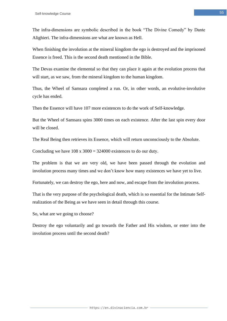The infra-dimensions are symbolic described in the book "The Divine Comedy" by Dante Alighieri. The infra-dimensions are what are known as Hell.

When finishing the involution at the mineral kingdom the ego is destroyed and the imprisoned Essence is freed. This is the second death mentioned in the Bible.

The Devas examine the elemental so that they can place it again at the evolution process that will start, as we saw, from the mineral kingdom to the human kingdom.

Thus, the Wheel of Samsara completed a run. Or, in other words, an evolutive-involutive cycle has ended.

Then the Essence will have 107 more existences to do the work of Self-knowledge.

But the Wheel of Samsara spins 3000 times on each existence. After the last spin every door will be closed.

The Real Being then retrieves its Essence, which will return unconsciously to the Absolute.

Concluding we have  $108 \times 3000 = 324000$  existences to do our duty.

The problem is that we are very old, we have been passed through the evolution and involution process many times and we don't know how many existences we have yet to live.

Fortunately, we can destroy the ego, here and now, and escape from the involution process.

That is the very purpose of the psychological death, which is so essential for the Intimate Selfrealization of the Being as we have seen in detail through this course.

So, what are we going to choose?

Destroy the ego voluntarily and go towards the Father and His wisdom, or enter into the involution process until the second death?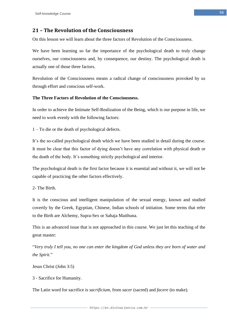# <span id="page-55-0"></span>**21 – The Revolution of the Consciousness**

On this lesson we will learn about the three factors of Revolution of the Consciousness.

We have been learning so far the importance of the psychological death to truly change ourselves, our consciousness and, by consequence, our destiny. The psychological death is actually one of those three factors.

Revolution of the Consciousness means a radical change of consciousness provoked by us through effort and conscious self-work.

#### **The Three Factors of Revolution of the Consciousness.**

In order to achieve the Intimate Self-Realization of the Being, which is our purpose in life, we need to work evenly with the following factors:

1 – To die or the death of psychological defects.

It's the so-called psychological death which we have been studied in detail during the course. It must be clear that this factor of dying doesn't have any correlation with physical death or the death of the body. It's something strictly psychological and interior.

The psychological death is the first factor because it is essential and without it, we will not be capable of practicing the other factors effectively.

2- The Birth.

It is the conscious and intelligent manipulation of the sexual energy, known and studied covertly by the Greek, Egyptian, Chinese, Indian schools of initiation. Some terms that refer to the Birth are Alchemy, Supra-Sex or Sahaja Maithuna.

This is an advanced issue that is not approached in this course. We just let this teaching of the great master:

"*Very truly I tell you, no one can enter the kingdom of God unless they are born of water and the Spirit*."

Jesus Christ (John 3:5)

3 - Sacrifice for Humanity.

The Latin word for sacrifice is *sacrificium*, from *sacer* (sacred) and *facere* (to make).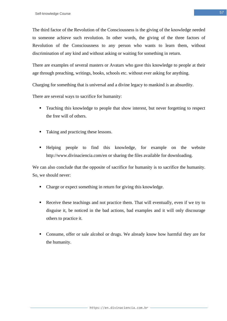The third factor of the Revolution of the Consciousness is the giving of the knowledge needed to someone achieve such revolution. In other words, the giving of the three factors of Revolution of the Consciousness to any person who wants to learn them, without discrimination of any kind and without asking or waiting for something in return.

There are examples of several masters or Avatars who gave this knowledge to people at their age through preaching, writings, books, schools etc. without ever asking for anything.

Charging for something that is universal and a divine legacy to mankind is an absurdity.

There are several ways to sacrifice for humanity:

- Teaching this knowledge to people that show interest, but never forgetting to respect the free will of others.
- Taking and practicing these lessons.
- Helping people to find this knowledge, for example on the website http://www.divinaciencia.com/en or sharing the files available for downloading.

We can also conclude that the opposite of sacrifice for humanity is to sacrifice the humanity. So, we should never:

- Charge or expect something in return for giving this knowledge.
- Receive these teachings and not practice them. That will eventually, even if we try to disguise it, be noticed in the bad actions, bad examples and it will only discourage others to practice it.
- Consume, offer or sale alcohol or drugs. We already know how harmful they are for the humanity.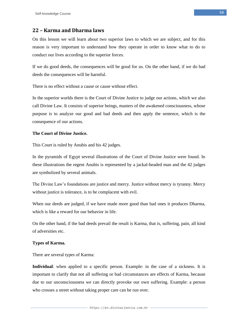# <span id="page-57-0"></span>**22 – Karma and Dharma laws**

On this lesson we will learn about two superior laws to which we are subject, and for this reason is very important to understand how they operate in order to know what to do to conduct our lives according to the superior forces.

If we do good deeds, the consequences will be good for us. On the other hand, if we do bad deeds the consequences will be harmful.

There is no effect without a cause or cause without effect.

In the superior worlds there is the Court of Divine Justice to judge our actions, which we also call Divine Law. It consists of superior beings, masters of the awakened consciousness, whose purpose is to analyze our good and bad deeds and then apply the sentence, which is the consequence of our actions.

#### **The Court of Divine Justice.**

This Court is ruled by Anubis and his 42 judges.

In the pyramids of Egypt several illustrations of the Court of Divine Justice were found. In these illustrations the regent Anubis is represented by a jackal-headed man and the 42 judges are symbolized by several animals.

The Divine Law's foundations are justice and mercy. Justice without mercy is tyranny. Mercy without justice is tolerance, is to be complacent with evil.

When our deeds are judged, if we have made more good than bad ones it produces Dharma, which is like a reward for our behavior in life.

On the other hand, if the bad deeds prevail the result is Karma, that is, suffering, pain, all kind of adversities etc.

#### **Types of Karma.**

There are several types of Karma:

**Individual**: when applied to a specific person. Example: in the case of a sickness. It is important to clarify that not all suffering or bad circumstances are effects of Karma, because due to our unconsciousness we can directly provoke our own suffering. Example: a person who crosses a street without taking proper care can be run over.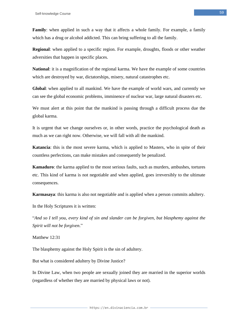**Family**: when applied in such a way that it affects a whole family. For example, a family which has a drug or alcohol addicted. This can bring suffering to all the family.

**Regional**: when applied to a specific region. For example, droughts, floods or other weather adversities that happen in specific places.

**National**: it is a magnification of the regional karma. We have the example of some countries which are destroyed by war, dictatorships, misery, natural catastrophes etc.

**Global**: when applied to all mankind. We have the example of world wars, and currently we can see the global economic problems, imminence of nuclear war, large natural disasters etc.

We must alert at this point that the mankind is passing through a difficult process due the global karma.

It is urgent that we change ourselves or, in other words, practice the psychological death as much as we can right now. Otherwise, we will fall with all the mankind.

**Katancia**: this is the most severe karma, which is applied to Masters, who in spite of their countless perfections, can make mistakes and consequently be penalized.

**Kamaduro**: the karma applied to the most serious faults, such as murders, ambushes, tortures etc. This kind of karma is not negotiable and when applied, goes irreversibly to the ultimate consequences.

**Karmasaya**: this karma is also not negotiable and is applied when a person commits adultery.

In the Holy Scriptures it is written:

"*And so I tell you, every kind of sin and slander can be forgiven, but blasphemy against the Spirit will not be forgiven*."

Matthew 12:31

The blasphemy against the Holy Spirit is the sin of adultery.

But what is considered adultery by Divine Justice?

In Divine Law, when two people are sexually joined they are married in the superior worlds (regardless of whether they are married by physical laws or not).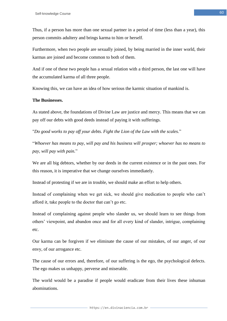Thus, if a person has more than one sexual partner in a period of time (less than a year), this person commits adultery and brings karma to him or herself.

Furthermore, when two people are sexually joined, by being married in the inner world, their karmas are joined and become common to both of them.

And if one of these two people has a sexual relation with a third person, the last one will have the accumulated karma of all three people.

Knowing this, we can have an idea of how serious the karmic situation of mankind is.

#### **The Businesses.**

As stated above, the foundations of Divine Law are justice and mercy. This means that we can pay off our debts with good deeds instead of paying it with sufferings.

"*Do good works to pay off your debts. Fight the Lion of the Law with the scales.*"

"*Whoever has means to pay, will pay and his business will prosper; whoever has no means to pay, will pay with pain.*"

We are all big debtors, whether by our deeds in the current existence or in the past ones. For this reason, it is imperative that we change ourselves immediately.

Instead of protesting if we are in trouble, we should make an effort to help others.

Instead of complaining when we get sick, we should give medication to people who can't afford it, take people to the doctor that can't go etc.

Instead of complaining against people who slander us, we should learn to see things from others' viewpoint, and abandon once and for all every kind of slander, intrigue, complaining etc.

Our karma can be forgiven if we eliminate the cause of our mistakes, of our anger, of our envy, of our arrogance etc.

The cause of our errors and, therefore, of our suffering is the ego, the psychological defects. The ego makes us unhappy, perverse and miserable.

The world would be a paradise if people would eradicate from their lives these inhuman abominations.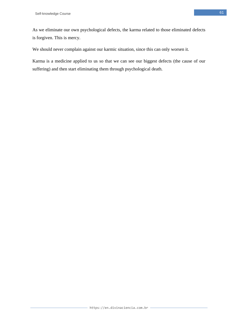As we eliminate our own psychological defects, the karma related to those eliminated defects is forgiven. This is mercy.

We should never complain against our karmic situation, since this can only worsen it.

Karma is a medicine applied to us so that we can see our biggest defects (the cause of our suffering) and then start eliminating them through psychological death.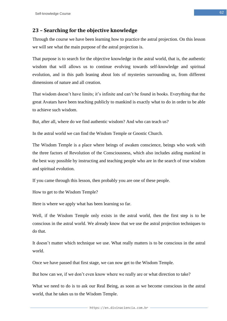# <span id="page-61-0"></span>**23 – Searching for the objective knowledge**

Through the course we have been learning how to practice the astral projection. On this lesson we will see what the main purpose of the astral projection is.

That purpose is to search for the objective knowledge in the astral world, that is, the authentic wisdom that will allows us to continue evolving towards self-knowledge and spiritual evolution, and in this path leaning about lots of mysteries surrounding us, from different dimensions of nature and all creation.

That wisdom doesn't have limits; it's infinite and can't be found in books. Everything that the great Avatars have been teaching publicly to mankind is exactly what to do in order to be able to achieve such wisdom.

But, after all, where do we find authentic wisdom? And who can teach us?

In the astral world we can find the Wisdom Temple or Gnostic Church.

The Wisdom Temple is a place where beings of awaken conscience, beings who work with the three factors of Revolution of the Consciousness, which also includes aiding mankind in the best way possible by instructing and teaching people who are in the search of true wisdom and spiritual evolution.

If you came through this lesson, then probably you are one of these people.

How to get to the Wisdom Temple?

Here is where we apply what has been learning so far.

Well, if the Wisdom Temple only exists in the astral world, then the first step is to be conscious in the astral world. We already know that we use the astral projection techniques to do that.

It doesn't matter which technique we use. What really matters is to be conscious in the astral world.

Once we have passed that first stage, we can now get to the Wisdom Temple.

But how can we, if we don't even know where we really are or what direction to take?

What we need to do is to ask our Real Being, as soon as we become conscious in the astral world, that he takes us to the Wisdom Temple.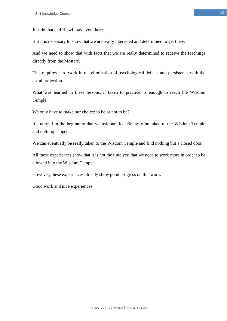Just do that and He will take you there.

But it is necessary to show that we are really interested and determined to get there.

And we need to show that with facts that we are really determined to receive the teachings directly from the Masters.

This requires hard work in the elimination of psychological defects and persistence with the astral projection.

What was learned in these lessons, if taken to practice, is enough to reach the Wisdom Temple.

We only have to make our choice: to be or not to be?

It's normal in the beginning that we ask our Real Being to be taken to the Wisdom Temple and nothing happens.

We can eventually be really taken to the Wisdom Temple and find nothing but a closed door.

All these experiences show that it is not the time yet; that we need to work more in order to be allowed into the Wisdom Temple.

However, these experiences already show good progress on this work.

Good work and nice experiences.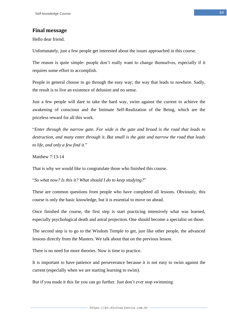# <span id="page-63-0"></span>**Final message**

Hello dear friend.

Unfortunately, just a few people get interested about the issues approached in this course.

The reason is quite simple: people don't really want to change themselves, especially if it requires some effort to accomplish.

People in general choose to go through the easy way; the way that leads to nowhere. Sadly, the result is to live an existence of delusion and no sense.

Just a few people will dare to take the hard way, swim against the current to achieve the awakening of conscious and the Intimate Self-Realization of the Being, which are the priceless reward for all this work.

"*Enter through the narrow gate. For wide is the gate and broad is the road that leads to destruction, and many enter through it. But small is the gate and narrow the road that leads to life, and only a few find it.*"

Matthew 7:13-14

That is why we would like to congratulate those who finished this course.

"*So what now? Is this it? What should I do to keep studying?*"

These are common questions from people who have completed all lessons. Obviously, this course is only the basic knowledge, but it is essential to move on ahead.

Once finished the course, the first step is start practicing intensively what was learned, especially psychological death and astral projection. One should become a specialist on those.

The second step is to go to the Wisdom Temple to get, just like other people, the advanced lessons directly from the Masters. We talk about that on the previous lesson.

There is no need for more theories. Now is time to practice.

It is important to have patience and perseverance because it is not easy to swim against the current (especially when we are starting learning to swim).

But if you made it this far you can go further. Just don't ever stop swimming.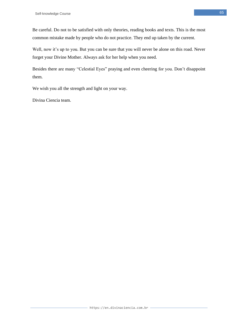Be careful. Do not to be satisfied with only theories, reading books and texts. This is the most common mistake made by people who do not practice. They end up taken by the current.

Well, now it's up to you. But you can be sure that you will never be alone on this road. Never forget your Divine Mother. Always ask for her help when you need.

Besides there are many "Celestial Eyes" praying and even cheering for you. Don't disappoint them.

We wish you all the strength and light on your way.

Divina Ciencia team.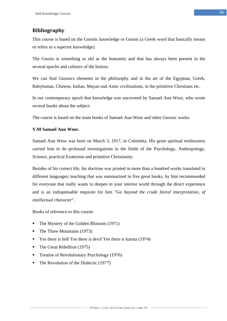# <span id="page-65-0"></span>**Bibliography**

This course is based on the Gnostic knowledge or Gnosis (a Greek word that basically means or refers to a superior knowledge).

The Gnosis is something as old as the humanity and that has always been present in the several epochs and cultures of the history.

We can find Gnostics elements in the philosophy and in the art of the Egyptian, Greek, Babylonian, Chinese, Indian, Mayan and Aztec civilizations, in the primitive Christians etc.

In our contemporary epoch that knowledge was uncovered by Samael Aun Weor, who wrote several books about the subject.

The course is based on the main books of Samael Aun Weor and other Gnostic works.

## **V.M Samael Aun Weor.**

Samael Aun Weor was born on March 3, 1917, in Colombia. His great spiritual restlessness carried him to do profound investigations in the fields of the Psychology, Anthropology, Science, practical Esoterism and primitive Christianity.

Besides of his correct life, his doctrine was printed in more than a hundred works translated in different languages; teaching that was summarized in five great books, by him recommended for everyone that really wants to deepen in your interior world through the direct experience and is an indispensable requisite for him "*Go beyond the crude literal interpretation, of intellectual character*".

Books of reference to this course:

- The Mystery of the Golden Blossom (1971)
- The Three Mountains (1973)
- Yes there is hell Yes there is devil Yes there is karma (1974)
- The Great Rebellion (1975)
- Treatise of Revolutionary Psychology (1976)
- The Revolution of the Dialectic (1977)